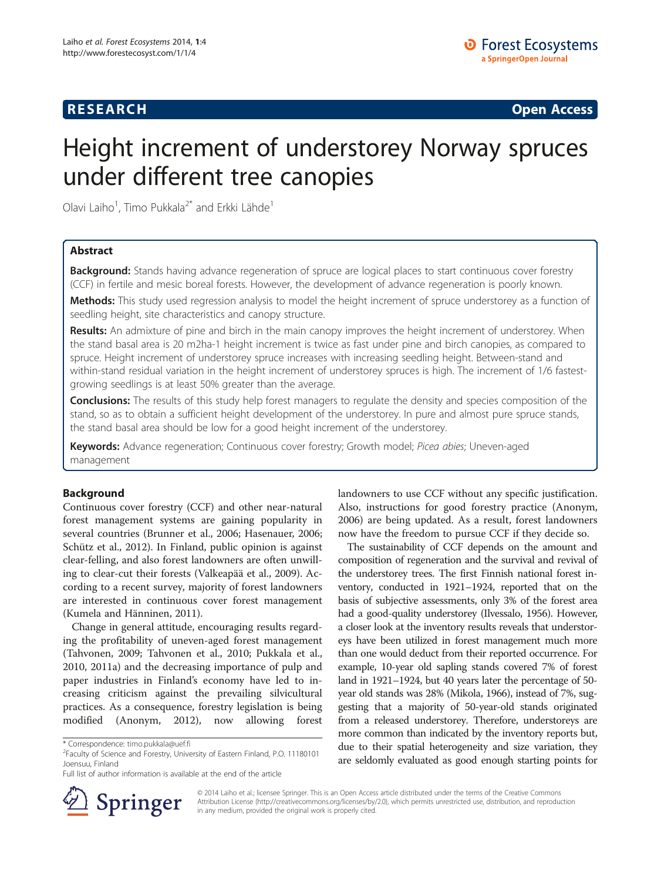# **RESEARCH RESEARCH CONSUMING ACCESS**

# Height increment of understorey Norway spruces under different tree canopies

Olavi Laiho<sup>1</sup>, Timo Pukkala<sup>2\*</sup> and Erkki Lähde<sup>1</sup>

# Abstract

Background: Stands having advance regeneration of spruce are logical places to start continuous cover forestry (CCF) in fertile and mesic boreal forests. However, the development of advance regeneration is poorly known.

Methods: This study used regression analysis to model the height increment of spruce understorey as a function of seedling height, site characteristics and canopy structure.

Results: An admixture of pine and birch in the main canopy improves the height increment of understorey. When the stand basal area is 20 m2ha-1 height increment is twice as fast under pine and birch canopies, as compared to spruce. Height increment of understorey spruce increases with increasing seedling height. Between-stand and within-stand residual variation in the height increment of understorey spruces is high. The increment of 1/6 fastestgrowing seedlings is at least 50% greater than the average.

Conclusions: The results of this study help forest managers to regulate the density and species composition of the stand, so as to obtain a sufficient height development of the understorey. In pure and almost pure spruce stands, the stand basal area should be low for a good height increment of the understorey.

Keywords: Advance regeneration; Continuous cover forestry; Growth model; Picea abies; Uneven-aged management

# Background

Continuous cover forestry (CCF) and other near-natural forest management systems are gaining popularity in several countries (Brunner et al., [2006;](#page-6-0) Hasenauer, [2006](#page-6-0); Schütz et al., [2012\)](#page-6-0). In Finland, public opinion is against clear-felling, and also forest landowners are often unwilling to clear-cut their forests (Valkeapää et al., [2009](#page-6-0)). According to a recent survey, majority of forest landowners are interested in continuous cover forest management (Kumela and Hänninen, [2011\)](#page-6-0).

Change in general attitude, encouraging results regarding the profitability of uneven-aged forest management (Tahvonen, [2009](#page-6-0); Tahvonen et al., [2010](#page-6-0); Pukkala et al., [2010](#page-6-0), [2011a\)](#page-6-0) and the decreasing importance of pulp and paper industries in Finland's economy have led to increasing criticism against the prevailing silvicultural practices. As a consequence, forestry legislation is being modified (Anonym, [2012](#page-5-0)), now allowing forest



The sustainability of CCF depends on the amount and composition of regeneration and the survival and revival of the understorey trees. The first Finnish national forest inventory, conducted in 1921–1924, reported that on the basis of subjective assessments, only 3% of the forest area had a good-quality understorey (Ilvessalo, [1956](#page-6-0)). However, a closer look at the inventory results reveals that understoreys have been utilized in forest management much more than one would deduct from their reported occurrence. For example, 10-year old sapling stands covered 7% of forest land in 1921–1924, but 40 years later the percentage of 50 year old stands was 28% (Mikola, [1966\)](#page-6-0), instead of 7%, suggesting that a majority of 50-year-old stands originated from a released understorey. Therefore, understoreys are more common than indicated by the inventory reports but, due to their spatial heterogeneity and size variation, they are seldomly evaluated as good enough starting points for



© 2014 Laiho et al.; licensee Springer. This is an Open Access article distributed under the terms of the Creative Commons Attribution License [\(http://creativecommons.org/licenses/by/2.0\)](http://creativecommons.org/licenses/by/2.0), which permits unrestricted use, distribution, and reproduction in any medium, provided the original work is properly cited.

<sup>\*</sup> Correspondence: [timo.pukkala@uef.fi](mailto:timo.pukkala@uef.fi) <sup>2</sup>

Faculty of Science and Forestry, University of Eastern Finland, P.O. 11180101 Joensuu, Finland

Full list of author information is available at the end of the article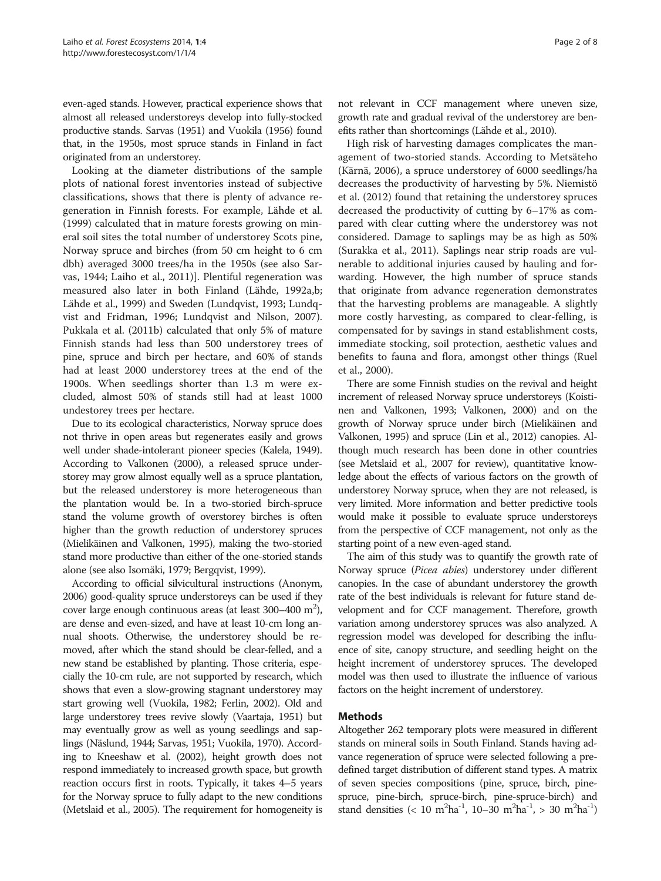even-aged stands. However, practical experience shows that almost all released understoreys develop into fully-stocked productive stands. Sarvas ([1951\)](#page-6-0) and Vuokila [\(1956](#page-7-0)) found that, in the 1950s, most spruce stands in Finland in fact originated from an understorey.

Looking at the diameter distributions of the sample plots of national forest inventories instead of subjective classifications, shows that there is plenty of advance regeneration in Finnish forests. For example, Lähde et al. ([1999](#page-6-0)) calculated that in mature forests growing on mineral soil sites the total number of understorey Scots pine, Norway spruce and birches (from 50 cm height to 6 cm dbh) averaged 3000 trees/ha in the 1950s (see also Sarvas, [1944;](#page-6-0) Laiho et al., [2011](#page-6-0))]. Plentiful regeneration was measured also later in both Finland (Lähde, [1992a,b](#page-6-0); Lähde et al., [1999\)](#page-6-0) and Sweden (Lundqvist, [1993](#page-6-0); Lundqvist and Fridman, [1996;](#page-6-0) Lundqvist and Nilson, [2007](#page-6-0)). Pukkala et al. ([2011b\)](#page-6-0) calculated that only 5% of mature Finnish stands had less than 500 understorey trees of pine, spruce and birch per hectare, and 60% of stands had at least 2000 understorey trees at the end of the 1900s. When seedlings shorter than 1.3 m were excluded, almost 50% of stands still had at least 1000 undestorey trees per hectare.

Due to its ecological characteristics, Norway spruce does not thrive in open areas but regenerates easily and grows well under shade-intolerant pioneer species (Kalela, [1949](#page-6-0)). According to Valkonen ([2000](#page-7-0)), a released spruce understorey may grow almost equally well as a spruce plantation, but the released understorey is more heterogeneous than the plantation would be. In a two-storied birch-spruce stand the volume growth of overstorey birches is often higher than the growth reduction of understorey spruces (Mielikäinen and Valkonen, [1995\)](#page-6-0), making the two-storied stand more productive than either of the one-storied stands alone (see also Isomäki, [1979](#page-6-0); Bergqvist, [1999](#page-6-0)).

According to official silvicultural instructions (Anonym, [2006\)](#page-5-0) good-quality spruce understoreys can be used if they cover large enough continuous areas (at least  $300-400$  m<sup>2</sup>), are dense and even-sized, and have at least 10-cm long annual shoots. Otherwise, the understorey should be removed, after which the stand should be clear-felled, and a new stand be established by planting. Those criteria, especially the 10-cm rule, are not supported by research, which shows that even a slow-growing stagnant understorey may start growing well (Vuokila, [1982](#page-7-0); Ferlin, [2002](#page-6-0)). Old and large understorey trees revive slowly (Vaartaja, [1951\)](#page-6-0) but may eventually grow as well as young seedlings and saplings (Näslund, [1944](#page-6-0); Sarvas, [1951](#page-6-0); Vuokila, [1970\)](#page-7-0). According to Kneeshaw et al. [\(2002\)](#page-6-0), height growth does not respond immediately to increased growth space, but growth reaction occurs first in roots. Typically, it takes 4–5 years for the Norway spruce to fully adapt to the new conditions (Metslaid et al., [2005\)](#page-6-0). The requirement for homogeneity is

not relevant in CCF management where uneven size, growth rate and gradual revival of the understorey are benefits rather than shortcomings (Lähde et al., [2010\)](#page-6-0).

High risk of harvesting damages complicates the management of two-storied stands. According to Metsäteho (Kärnä, [2006](#page-6-0)), a spruce understorey of 6000 seedlings/ha decreases the productivity of harvesting by 5%. Niemistö et al. [\(2012\)](#page-6-0) found that retaining the understorey spruces decreased the productivity of cutting by 6–17% as compared with clear cutting where the understorey was not considered. Damage to saplings may be as high as 50% (Surakka et al., [2011](#page-6-0)). Saplings near strip roads are vulnerable to additional injuries caused by hauling and forwarding. However, the high number of spruce stands that originate from advance regeneration demonstrates that the harvesting problems are manageable. A slightly more costly harvesting, as compared to clear-felling, is compensated for by savings in stand establishment costs, immediate stocking, soil protection, aesthetic values and benefits to fauna and flora, amongst other things (Ruel et al., [2000](#page-6-0)).

There are some Finnish studies on the revival and height increment of released Norway spruce understoreys (Koistinen and Valkonen, [1993](#page-6-0); Valkonen, [2000\)](#page-7-0) and on the growth of Norway spruce under birch (Mielikäinen and Valkonen, [1995\)](#page-6-0) and spruce (Lin et al., [2012\)](#page-6-0) canopies. Although much research has been done in other countries (see Metslaid et al., [2007](#page-6-0) for review), quantitative knowledge about the effects of various factors on the growth of understorey Norway spruce, when they are not released, is very limited. More information and better predictive tools would make it possible to evaluate spruce understoreys from the perspective of CCF management, not only as the starting point of a new even-aged stand.

The aim of this study was to quantify the growth rate of Norway spruce (Picea abies) understorey under different canopies. In the case of abundant understorey the growth rate of the best individuals is relevant for future stand development and for CCF management. Therefore, growth variation among understorey spruces was also analyzed. A regression model was developed for describing the influence of site, canopy structure, and seedling height on the height increment of understorey spruces. The developed model was then used to illustrate the influence of various factors on the height increment of understorey.

# Methods

Altogether 262 temporary plots were measured in different stands on mineral soils in South Finland. Stands having advance regeneration of spruce were selected following a predefined target distribution of different stand types. A matrix of seven species compositions (pine, spruce, birch, pinespruce, pine-birch, spruce-birch, pine-spruce-birch) and stand densities (< 10 m<sup>2</sup>ha<sup>-1</sup>, 10-30 m<sup>2</sup>ha<sup>-1</sup>, > 30 m<sup>2</sup>ha<sup>-1</sup>)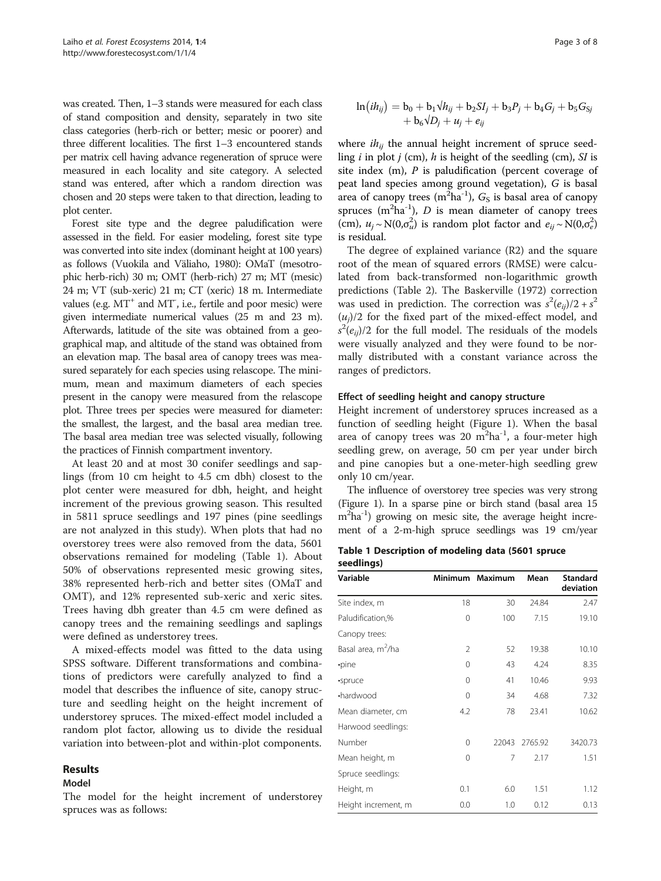was created. Then, 1–3 stands were measured for each class of stand composition and density, separately in two site class categories (herb-rich or better; mesic or poorer) and three different localities. The first 1–3 encountered stands per matrix cell having advance regeneration of spruce were measured in each locality and site category. A selected stand was entered, after which a random direction was chosen and 20 steps were taken to that direction, leading to plot center.

Forest site type and the degree paludification were assessed in the field. For easier modeling, forest site type was converted into site index (dominant height at 100 years) as follows (Vuokila and Väliaho, [1980](#page-7-0)): OMaT (mesotrophic herb-rich) 30 m; OMT (herb-rich) 27 m; MT (mesic) 24 m; VT (sub-xeric) 21 m; CT (xeric) 18 m. Intermediate values (e.g. MT<sup>+</sup> and MT<sup>-</sup>, i.e., fertile and poor mesic) were given intermediate numerical values (25 m and 23 m). Afterwards, latitude of the site was obtained from a geographical map, and altitude of the stand was obtained from an elevation map. The basal area of canopy trees was measured separately for each species using relascope. The minimum, mean and maximum diameters of each species present in the canopy were measured from the relascope plot. Three trees per species were measured for diameter: the smallest, the largest, and the basal area median tree. The basal area median tree was selected visually, following the practices of Finnish compartment inventory.

At least 20 and at most 30 conifer seedlings and saplings (from 10 cm height to 4.5 cm dbh) closest to the plot center were measured for dbh, height, and height increment of the previous growing season. This resulted in 5811 spruce seedlings and 197 pines (pine seedlings are not analyzed in this study). When plots that had no overstorey trees were also removed from the data, 5601 observations remained for modeling (Table 1). About 50% of observations represented mesic growing sites, 38% represented herb-rich and better sites (OMaT and OMT), and 12% represented sub-xeric and xeric sites. Trees having dbh greater than 4.5 cm were defined as canopy trees and the remaining seedlings and saplings were defined as understorey trees.

A mixed-effects model was fitted to the data using SPSS software. Different transformations and combinations of predictors were carefully analyzed to find a model that describes the influence of site, canopy structure and seedling height on the height increment of understorey spruces. The mixed-effect model included a random plot factor, allowing us to divide the residual variation into between-plot and within-plot components.

### Results

#### Model

The model for the height increment of understorey spruces was as follows:

$$
\ln(ih_{ij}) = b_0 + b_1\sqrt{h_{ij}} + b_2SI_j + b_3P_j + b_4G_j + b_5G_{Sj} + b_6\sqrt{D_j} + u_j + e_{ij}
$$

where  $ih_{ij}$  the annual height increment of spruce seedling  $i$  in plot  $j$  (cm),  $h$  is height of the seedling (cm), SI is site index  $(m)$ ,  $P$  is paludification (percent coverage of peat land species among ground vegetation), G is basal area of canopy trees  $(m^2ha^{-1})$ ,  $G_S$  is basal area of canopy<br>spruces  $(m^2ba^{-1})$ . D is mean diameter of canopy trees spruces  $(m^2ha^{-1})$ , D is mean diameter of canopy trees<br>(cm),  $u_{\text{C}}N(0\sigma^2)$  is random plot factor and  $e_{\text{C}}N(0\sigma^2)$ (cm),  $u_j \sim N(0, \sigma_u^2)$  is random plot factor and  $e_{ij} \sim N(0, \sigma_e^2)$ <br>is residual is residual.

The degree of explained variance (R2) and the square root of the mean of squared errors (RMSE) were calculated from back-transformed non-logarithmic growth predictions (Table [2\)](#page-3-0). The Baskerville ([1972](#page-5-0)) correction was used in prediction. The correction was  $s^2(e_{ij})/2 + s^2$ <br>(*u*)/2 for the fixed part of the mixed-effect model and  $(u_i)/2$  for the fixed part of the mixed-effect model, and were visually analyzed and they were found to be nor- $^{2}(e_{ij})/2$  for the full model. The residuals of the models<br>were visually analyzed and they were found to be pormally distributed with a constant variance across the ranges of predictors.

#### Effect of seedling height and canopy structure

Height increment of understorey spruces increased as a function of seedling height (Figure [1\)](#page-3-0). When the basal area of canopy trees was 20  $m^2$ ha<sup>-1</sup>, a four-meter high seedling grew, on average, 50 cm per year under birch and pine canopies but a one-meter-high seedling grew only 10 cm/year.

The influence of overstorey tree species was very strong (Figure [1](#page-3-0)). In a sparse pine or birch stand (basal area 15 m<sup>2</sup>ha<sup>-1</sup>) growing on mesic site, the average height increment of a 2-m-high spruce seedlings was 19 cm/year

Table 1 Description of modeling data (5601 spruce seedlings)

| Variable                       |          | Minimum Maximum | Mean    | <b>Standard</b><br>deviation |
|--------------------------------|----------|-----------------|---------|------------------------------|
| Site index, m                  | 18       | 30              | 24.84   | 2.47                         |
| Paludification,%               | $\Omega$ | 100             | 7.15    | 19.10                        |
| Canopy trees:                  |          |                 |         |                              |
| Basal area, m <sup>2</sup> /ha | 2        | 52              | 19.38   | 10.10                        |
| ·pine                          | $\Omega$ | 43              | 4.24    | 8.35                         |
| ·spruce                        | $\Omega$ | 41              | 10.46   | 9.93                         |
| •hardwood                      | $\Omega$ | 34              | 4.68    | 7.32                         |
| Mean diameter, cm              | 4.2      | 78              | 23.41   | 10.62                        |
| Harwood seedlings:             |          |                 |         |                              |
| Number                         | $\Omega$ | 22043           | 2765.92 | 3420.73                      |
| Mean height, m                 | $\Omega$ | 7               | 2.17    | 1.51                         |
| Spruce seedlings:              |          |                 |         |                              |
| Height, m                      | 0.1      | 6.0             | 1.51    | 1.12                         |
| Height increment, m            | 0.0      | 1.0             | 0.12    | 0.13                         |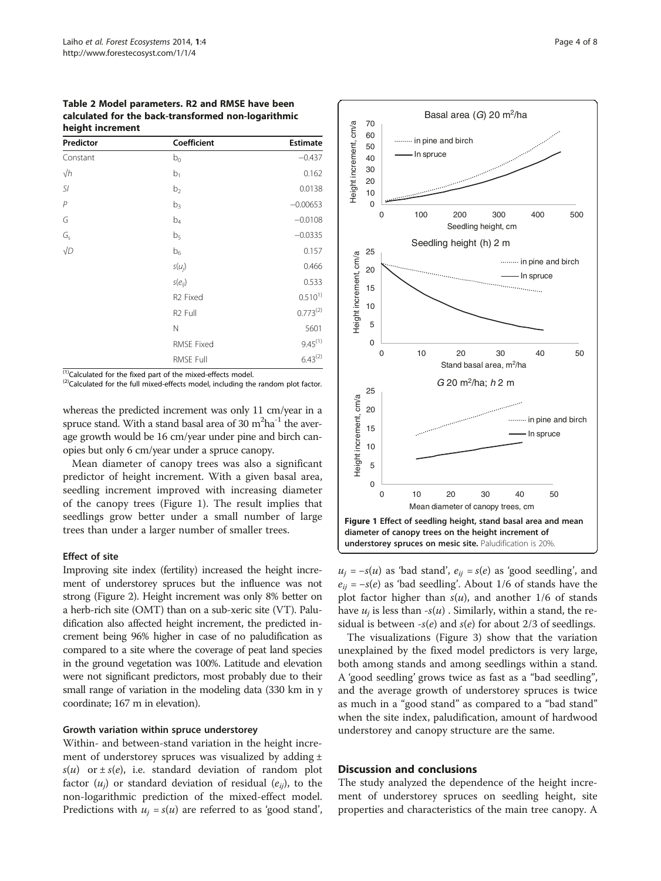<span id="page-3-0"></span>Table 2 Model parameters. R2 and RMSE have been calculated for the back-transformed non-logarithmic height increment

| Predictor                  | Coefficient          | <b>Estimate</b> |
|----------------------------|----------------------|-----------------|
| Constant                   | $b_0$                | $-0.437$        |
| $\sqrt{h}$                 | b <sub>1</sub>       | 0.162           |
| SI                         | b <sub>2</sub>       | 0.0138          |
| $\,P$                      | $b_3$                | $-0.00653$      |
| G                          | b <sub>4</sub>       | $-0.0108$       |
| $G_{\rm s}$                | b <sub>5</sub>       | $-0.0335$       |
| $\sqrt{D}$<br>$\mathbf{A}$ | b <sub>6</sub>       | 0.157           |
|                            | $s(u_j)$             | 0.466           |
|                            | $s(e_{ij})$          | 0.533           |
|                            | R <sub>2</sub> Fixed | $0.510^{1}$     |
|                            | R <sub>2</sub> Full  | $0.773^{(2)}$   |
|                            | $\mathsf{N}$         | 5601            |
|                            | <b>RMSE Fixed</b>    | $9.45^{(1)}$    |
|                            | RMSE Full            | $6.43^{(2)}$    |

 $^{(1)}$ Calculated for the fixed part of the mixed-effects model.<br><sup>(2)</sup>Calculated for the full mixed-effects model, including the random plot factor.

whereas the predicted increment was only 11 cm/year in a spruce stand. With a stand basal area of  $30 \text{ m}^2\text{ha}^{-1}$  the average growth would be 16 cm/year under pine and birch canopies but only 6 cm/year under a spruce canopy.

Mean diameter of canopy trees was also a significant predictor of height increment. With a given basal area, seedling increment improved with increasing diameter of the canopy trees (Figure 1). The result implies that seedlings grow better under a small number of large trees than under a larger number of smaller trees.

#### Effect of site

Improving site index (fertility) increased the height increment of understorey spruces but the influence was not strong (Figure [2](#page-4-0)). Height increment was only 8% better on a herb-rich site (OMT) than on a sub-xeric site (VT). Paludification also affected height increment, the predicted increment being 96% higher in case of no paludification as compared to a site where the coverage of peat land species in the ground vegetation was 100%. Latitude and elevation were not significant predictors, most probably due to their small range of variation in the modeling data (330 km in y coordinate; 167 m in elevation).

#### Growth variation within spruce understorey

Within- and between-stand variation in the height increment of understorey spruces was visualized by adding  $\pm$  $s(u)$  or  $\pm s(e)$ , i.e. standard deviation of random plot factor  $(u_i)$  or standard deviation of residual  $(e_{ii})$ , to the non-logarithmic prediction of the mixed-effect model. Predictions with  $u_i = s(u)$  are referred to as 'good stand',



 $u_j = -s(u)$  as 'bad stand',  $e_{ij} = s(e)$  as 'good seedling', and  $e_{ii} = -s(e)$  as 'bad seedling'. About 1/6 of stands have the plot factor higher than  $s(u)$ , and another 1/6 of stands have  $u_i$  is less than  $-s(u)$ . Similarly, within a stand, the residual is between  $-s(e)$  and  $s(e)$  for about 2/3 of seedlings.

The visualizations (Figure [3](#page-4-0)) show that the variation unexplained by the fixed model predictors is very large, both among stands and among seedlings within a stand. A 'good seedling' grows twice as fast as a "bad seedling", and the average growth of understorey spruces is twice as much in a "good stand" as compared to a "bad stand" when the site index, paludification, amount of hardwood understorey and canopy structure are the same.

#### Discussion and conclusions

The study analyzed the dependence of the height increment of understorey spruces on seedling height, site properties and characteristics of the main tree canopy. A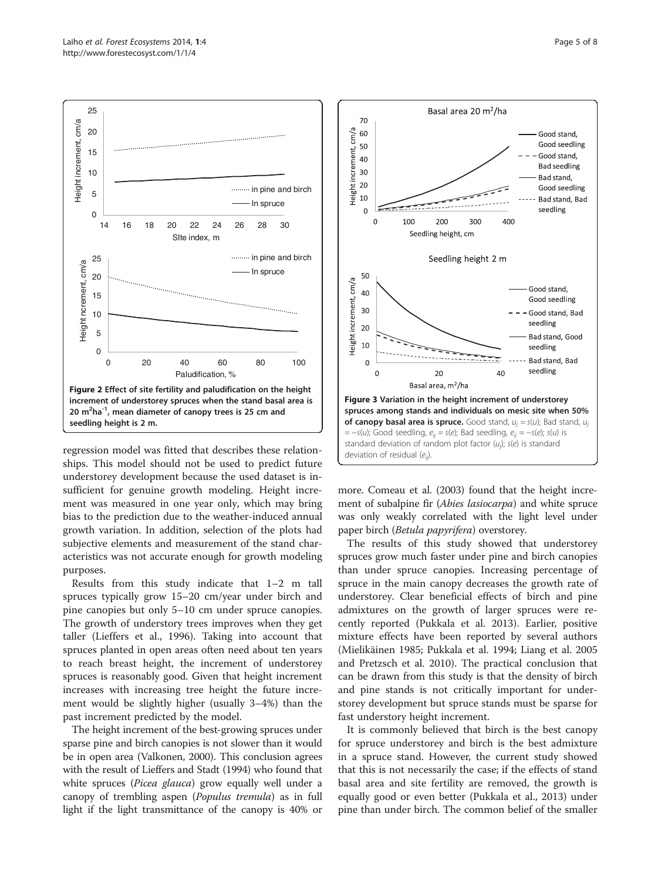<span id="page-4-0"></span>

regression model was fitted that describes these relationships. This model should not be used to predict future understorey development because the used dataset is insufficient for genuine growth modeling. Height increment was measured in one year only, which may bring bias to the prediction due to the weather-induced annual growth variation. In addition, selection of the plots had subjective elements and measurement of the stand characteristics was not accurate enough for growth modeling purposes.

Results from this study indicate that 1–2 m tall spruces typically grow 15–20 cm/year under birch and pine canopies but only 5–10 cm under spruce canopies. The growth of understory trees improves when they get taller (Lieffers et al., [1996](#page-6-0)). Taking into account that spruces planted in open areas often need about ten years to reach breast height, the increment of understorey spruces is reasonably good. Given that height increment increases with increasing tree height the future increment would be slightly higher (usually 3–4%) than the past increment predicted by the model.

The height increment of the best-growing spruces under sparse pine and birch canopies is not slower than it would be in open area (Valkonen, [2000](#page-7-0)). This conclusion agrees with the result of Lieffers and Stadt ([1994](#page-6-0)) who found that white spruces (*Picea glauca*) grow equally well under a canopy of trembling aspen (Populus tremula) as in full light if the light transmittance of the canopy is 40% or



more. Comeau et al. [\(2003\)](#page-6-0) found that the height increment of subalpine fir (Abies lasiocarpa) and white spruce was only weakly correlated with the light level under paper birch (Betula papyrifera) overstorey.

The results of this study showed that understorey spruces grow much faster under pine and birch canopies than under spruce canopies. Increasing percentage of spruce in the main canopy decreases the growth rate of understorey. Clear beneficial effects of birch and pine admixtures on the growth of larger spruces were recently reported (Pukkala et al. [2013\)](#page-6-0). Earlier, positive mixture effects have been reported by several authors (Mielikäinen [1985](#page-6-0); Pukkala et al. [1994;](#page-6-0) Liang et al. [2005](#page-6-0) and Pretzsch et al. [2010](#page-6-0)). The practical conclusion that can be drawn from this study is that the density of birch and pine stands is not critically important for understorey development but spruce stands must be sparse for fast understory height increment.

It is commonly believed that birch is the best canopy for spruce understorey and birch is the best admixture in a spruce stand. However, the current study showed that this is not necessarily the case; if the effects of stand basal area and site fertility are removed, the growth is equally good or even better (Pukkala et al., [2013\)](#page-6-0) under pine than under birch. The common belief of the smaller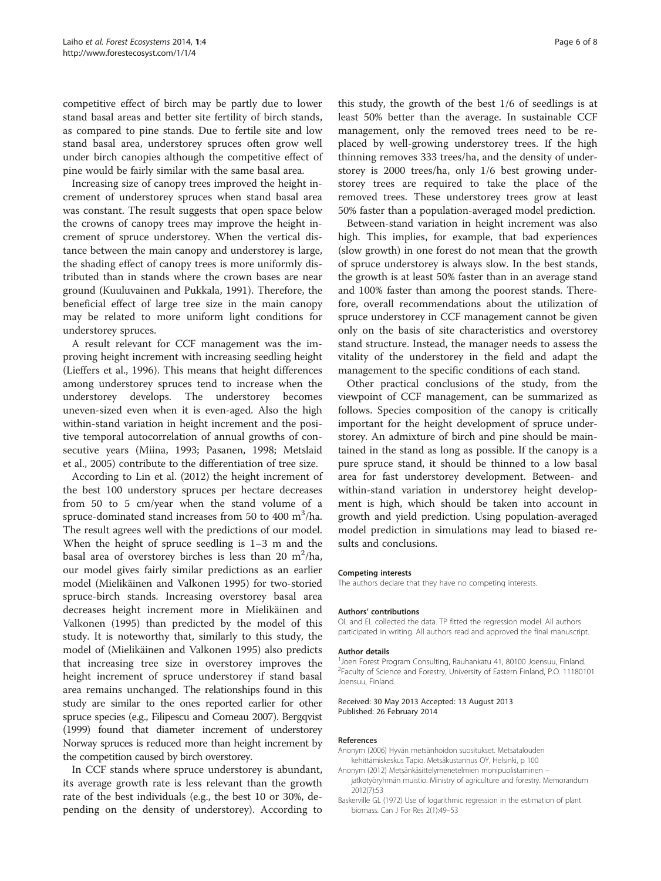<span id="page-5-0"></span>competitive effect of birch may be partly due to lower stand basal areas and better site fertility of birch stands, as compared to pine stands. Due to fertile site and low stand basal area, understorey spruces often grow well under birch canopies although the competitive effect of pine would be fairly similar with the same basal area.

Increasing size of canopy trees improved the height increment of understorey spruces when stand basal area was constant. The result suggests that open space below the crowns of canopy trees may improve the height increment of spruce understorey. When the vertical distance between the main canopy and understorey is large, the shading effect of canopy trees is more uniformly distributed than in stands where the crown bases are near ground (Kuuluvainen and Pukkala, [1991](#page-6-0)). Therefore, the beneficial effect of large tree size in the main canopy may be related to more uniform light conditions for understorey spruces.

A result relevant for CCF management was the improving height increment with increasing seedling height (Lieffers et al., [1996\)](#page-6-0). This means that height differences among understorey spruces tend to increase when the understorey develops. The understorey becomes uneven-sized even when it is even-aged. Also the high within-stand variation in height increment and the positive temporal autocorrelation of annual growths of consecutive years (Miina, [1993](#page-6-0); Pasanen, [1998;](#page-6-0) Metslaid et al., [2005](#page-6-0)) contribute to the differentiation of tree size.

According to Lin et al. ([2012\)](#page-6-0) the height increment of the best 100 understory spruces per hectare decreases from 50 to 5 cm/year when the stand volume of a spruce-dominated stand increases from 50 to 400  $\mathrm{m}^3/\mathrm{ha}$ . The result agrees well with the predictions of our model. When the height of spruce seedling is 1–3 m and the basal area of overstorey birches is less than 20  $m^2/ha$ , our model gives fairly similar predictions as an earlier model (Mielikäinen and Valkonen [1995\)](#page-6-0) for two-storied spruce-birch stands. Increasing overstorey basal area decreases height increment more in Mielikäinen and Valkonen ([1995](#page-6-0)) than predicted by the model of this study. It is noteworthy that, similarly to this study, the model of (Mielikäinen and Valkonen [1995](#page-6-0)) also predicts that increasing tree size in overstorey improves the height increment of spruce understorey if stand basal area remains unchanged. The relationships found in this study are similar to the ones reported earlier for other spruce species (e.g., Filipescu and Comeau [2007](#page-6-0)). Bergqvist ([1999\)](#page-6-0) found that diameter increment of understorey Norway spruces is reduced more than height increment by the competition caused by birch overstorey.

In CCF stands where spruce understorey is abundant, its average growth rate is less relevant than the growth rate of the best individuals (e.g., the best 10 or 30%, depending on the density of understorey). According to

this study, the growth of the best 1/6 of seedlings is at least 50% better than the average. In sustainable CCF management, only the removed trees need to be replaced by well-growing understorey trees. If the high thinning removes 333 trees/ha, and the density of understorey is 2000 trees/ha, only 1/6 best growing understorey trees are required to take the place of the removed trees. These understorey trees grow at least 50% faster than a population-averaged model prediction.

Between-stand variation in height increment was also high. This implies, for example, that bad experiences (slow growth) in one forest do not mean that the growth of spruce understorey is always slow. In the best stands, the growth is at least 50% faster than in an average stand and 100% faster than among the poorest stands. Therefore, overall recommendations about the utilization of spruce understorey in CCF management cannot be given only on the basis of site characteristics and overstorey stand structure. Instead, the manager needs to assess the vitality of the understorey in the field and adapt the management to the specific conditions of each stand.

Other practical conclusions of the study, from the viewpoint of CCF management, can be summarized as follows. Species composition of the canopy is critically important for the height development of spruce understorey. An admixture of birch and pine should be maintained in the stand as long as possible. If the canopy is a pure spruce stand, it should be thinned to a low basal area for fast understorey development. Between- and within-stand variation in understorey height development is high, which should be taken into account in growth and yield prediction. Using population-averaged model prediction in simulations may lead to biased results and conclusions.

#### Competing interests

The authors declare that they have no competing interests.

#### Authors' contributions

OL and EL collected the data. TP fitted the regression model. All authors participated in writing. All authors read and approved the final manuscript.

#### Author details

<sup>1</sup> Joen Forest Program Consulting, Rauhankatu 41, 80100 Joensuu, Finland <sup>2</sup> Faculty of Science and Forestry, University of Eastern Finland, P.O. 11180101 Joensuu, Finland.

#### Received: 30 May 2013 Accepted: 13 August 2013 Published: 26 February 2014

#### References

- Anonym (2006) Hyvän metsänhoidon suositukset. Metsätalouden kehittämiskeskus Tapio. Metsäkustannus OY, Helsinki, p 100
- Anonym (2012) Metsänkäsittelymenetelmien monipuolistaminen jatkotyöryhmän muistio. Ministry of agriculture and forestry. Memorandum 2012(7):53
- Baskerville GL (1972) Use of logarithmic regression in the estimation of plant biomass. Can J For Res 2(1):49–53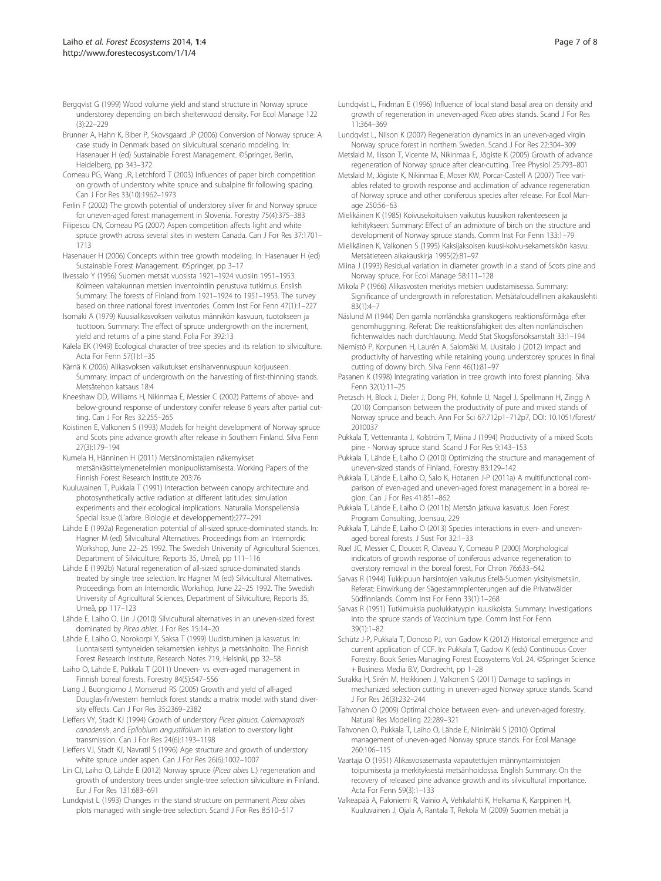- <span id="page-6-0"></span>Bergqvist G (1999) Wood volume yield and stand structure in Norway spruce understorey depending on birch shelterwood density. For Ecol Manage 122  $(3) \cdot 22 - 229$
- Brunner A, Hahn K, Biber P, Skovsgaard JP (2006) Conversion of Norway spruce: A case study in Denmark based on silvicultural scenario modeling. In: Hasenauer H (ed) Sustainable Forest Management. ©Springer, Berlin, Heidelberg, pp 343–372
- Comeau PG, Wang JR, Letchford T (2003) Influences of paper birch competition on growth of understory white spruce and subalpine fir following spacing. Can J For Res 33(10):1962–1973
- Ferlin F (2002) The growth potential of understorey silver fir and Norway spruce for uneven-aged forest management in Slovenia. Forestry 75(4):375–383
- Filipescu CN, Comeau PG (2007) Aspen competition affects light and white spruce growth across several sites in western Canada. Can J For Res 37:1701– 1713
- Hasenauer H (2006) Concepts within tree growth modeling. In: Hasenauer H (ed) Sustainable Forest Management. ©Springer, pp 3–17
- Ilvessalo Y (1956) Suomen metsät vuosista 1921–1924 vuosiin 1951–1953. Kolmeen valtakunnan metsien inventointiin perustuva tutkimus. Enslish Summary: The forests of Finland from 1921–1924 to 1951–1953. The survey based on three national forest inventories. Comm Inst For Fenn 47(1):1–227
- Isomäki A (1979) Kuusialikasvoksen vaikutus männikön kasvuun, tuotokseen ja tuottoon. Summary: The effect of spruce undergrowth on the increment, yield and returns of a pine stand. Folia For 392:13
- Kalela EK (1949) Ecological character of tree species and its relation to silviculture. Acta For Fenn 57(1):1–35
- Kärnä K (2006) Alikasvoksen vaikutukset ensiharvennuspuun korjuuseen. Summary: impact of undergrowth on the harvesting of first-thinning stands. Metsätehon katsaus 18:4
- Kneeshaw DD, Williams H, Nikinmaa E, Messier C (2002) Patterns of above- and below-ground response of understory conifer release 6 years after partial cutting. Can J For Res 32:255–265
- Koistinen E, Valkonen S (1993) Models for height development of Norway spruce and Scots pine advance growth after release in Southern Finland. Silva Fenn 27(3):179–194
- Kumela H, Hänninen H (2011) Metsänomistajien näkemykset metsänkäsittelymenetelmien monipuolistamisesta. Working Papers of the Finnish Forest Research Institute 203:76
- Kuuluvainen T, Pukkala T (1991) Interaction between canopy architecture and photosynthetically active radiation at different latitudes: simulation experiments and their ecological implications. Naturalia Monspeliensia Special Issue (L'arbre. Biologie et developpement):277–291
- Lähde E (1992a) Regeneration potential of all-sized spruce-dominated stands. In: Hagner M (ed) Silvicultural Alternatives. Proceedings from an Internordic Workshop, June 22–25 1992. The Swedish University of Agricultural Sciences, Department of Silviculture, Reports 35, Umeå, pp 111–116
- Lähde E (1992b) Natural regeneration of all-sized spruce-dominated stands treated by single tree selection. In: Hagner M (ed) Silvicultural Alternatives. Proceedings from an Internordic Workshop, June 22–25 1992. The Swedish University of Agricultural Sciences, Department of Silviculture, Reports 35, Umeå, pp 117–123
- Lähde E, Laiho O, Lin J (2010) Silvicultural alternatives in an uneven-sized forest dominated by Picea abies. J For Res 15:14–20
- Lähde E, Laiho O, Norokorpi Y, Saksa T (1999) Uudistuminen ja kasvatus. In: Luontaisesti syntyneiden sekametsien kehitys ja metsänhoito. The Finnish Forest Research Institute, Research Notes 719, Helsinki, pp 32–58
- Laiho O, Lähde E, Pukkala T (2011) Uneven- vs. even-aged management in Finnish boreal forests. Forestry 84(5):547–556
- Liang J, Buongiorno J, Monserud RS (2005) Growth and yield of all-aged Douglas-fir/western hemlock forest stands: a matrix model with stand diversity effects. Can J For Res 35:2369–2382
- Lieffers VY, Stadt KJ (1994) Growth of understory Picea glauca, Calamagrostis canadensis, and Epilobium angustifolium in relation to overstory light transmission. Can J For Res 24(6):1193–1198
- Lieffers VJ, Stadt KJ, Navratil S (1996) Age structure and growth of understory white spruce under aspen. Can J For Res 26(6):1002–1007
- Lin CJ, Laiho O, Lähde E (2012) Norway spruce (Picea abies L.) regeneration and growth of understory trees under single-tree selection silviculture in Finland. Eur J For Res 131:683–691
- Lundqvist L (1993) Changes in the stand structure on permanent Picea abies plots managed with single-tree selection. Scand J For Res 8:510–517
- Lundqvist L, Fridman E (1996) Influence of local stand basal area on density and growth of regeneration in uneven-aged Picea abies stands. Scand J For Res 11:364–369
- Lundqvist L, Nilson K (2007) Regeneration dynamics in an uneven-aged virgin Norway spruce forest in northern Sweden. Scand J For Res 22:304–309
- Metslaid M, Ilisson T, Vicente M, Nikinmaa E, Jõgiste K (2005) Growth of advance regeneration of Norway spruce after clear-cutting. Tree Physiol 25:793–801
- Metslaid M, Jõgiste K, Nikinmaa E, Moser KW, Porcar-Castell A (2007) Tree variables related to growth response and acclimation of advance regeneration of Norway spruce and other coniferous species after release. For Ecol Manage 250:56–63
- Mielikäinen K (1985) Koivusekoituksen vaikutus kuusikon rakenteeseen ja kehitykseen. Summary: Effect of an admixture of birch on the structure and development of Norway spruce stands. Comm Inst For Fenn 133:1–79
- Mielikäinen K, Valkonen S (1995) Kaksijaksoisen kuusi-koivu-sekametsikön kasvu. Metsätieteen aikakauskirja 1995(2):81–97
- Miina J (1993) Residual variation in diameter growth in a stand of Scots pine and Norway spruce. For Ecol Manage 58:111–128
- Mikola P (1966) Alikasvosten merkitys metsien uudistamisessa. Summary: Significance of undergrowth in reforestation. Metsätaloudellinen aikakauslehti 83(1):4–7
- Näslund M (1944) Den gamla norrländska granskogens reaktionsförmåga efter genomhuggning. Referat: Die reaktionsfähigkeit des alten norrländischen fichtenwaldes nach durchlauung. Medd Stat Skogsförsöksanstalt 33:1–194
- Niemistö P, Korpunen H, Laurén A, Salomäki M, Uusitalo J (2012) Impact and productivity of harvesting while retaining young understorey spruces in final cutting of downy birch. Silva Fenn 46(1):81–97
- Pasanen K (1998) Integrating variation in tree growth into forest planning. Silva Fenn 32(1):11–25
- Pretzsch H, Block J, Dieler J, Dong PH, Kohnle U, Nagel J, Spellmann H, Zingg A (2010) Comparison between the productivity of pure and mixed stands of Norway spruce and beach. Ann For Sci 67:712p1–712p7, DOI: 10.1051/forest/ 2010037
- Pukkala T, Vettenranta J, Kolström T, Miina J (1994) Productivity of a mixed Scots pine - Norway spruce stand. Scand J For Res 9:143–153
- Pukkala T, Lähde E, Laiho O (2010) Optimizing the structure and management of uneven-sized stands of Finland. Forestry 83:129–142
- Pukkala T, Lähde E, Laiho O, Salo K, Hotanen J-P (2011a) A multifunctional comparison of even-aged and uneven-aged forest management in a boreal region. Can J For Res 41:851–862
- Pukkala T, Lähde E, Laiho O (2011b) Metsän jatkuva kasvatus. Joen Forest Program Consulting, Joensuu, 229
- Pukkala T, Lähde E, Laiho O (2013) Species interactions in even- and unevenaged boreal forests. J Sust For 32:1–33
- Ruel JC, Messier C, Doucet R, Claveau Y, Comeau P (2000) Morphological indicators of growth response of coniferous advance regeneration to overstory removal in the boreal forest. For Chron 76:633–642
- Sarvas R (1944) Tukkipuun harsintojen vaikutus Etelä-Suomen yksityismetsiin. Referat: Einwirkung der Sägestammplenterungen auf die Privatwälder Südfinnlands. Comm Inst For Fenn 33(1):1–268
- Sarvas R (1951) Tutkimuksia puolukkatyypin kuusikoista. Summary: Investigations into the spruce stands of Vaccinium type. Comm Inst For Fenn 39(1):1–82
- Schütz J-P, Pukkala T, Donoso PJ, von Gadow K (2012) Historical emergence and current application of CCF. In: Pukkala T, Gadow K (eds) Continuous Cover Forestry. Book Series Managing Forest Ecosystems Vol. 24. ©Springer Science + Business Media B.V, Dordrecht, pp 1–28
- Surakka H, Sirén M, Heikkinen J, Valkonen S (2011) Damage to saplings in mechanized selection cutting in uneven-aged Norway spruce stands. Scand J For Res 26(3):232–244
- Tahvonen O (2009) Optimal choice between even- and uneven-aged forestry. Natural Res Modelling 22:289–321
- Tahvonen O, Pukkala T, Laiho O, Lähde E, Niinimäki S (2010) Optimal management of uneven-aged Norway spruce stands. For Ecol Manage 260:106–115
- Vaartaja O (1951) Alikasvosasemasta vapautettujen männyntaimistojen toipumisesta ja merkityksestä metsänhoidossa. English Summary: On the recovery of released pine advance growth and its silvicultural importance. Acta For Fenn 59(3):1–133
- Valkeapää A, Paloniemi R, Vainio A, Vehkalahti K, Helkama K, Karppinen H, Kuuluvainen J, Ojala A, Rantala T, Rekola M (2009) Suomen metsät ja